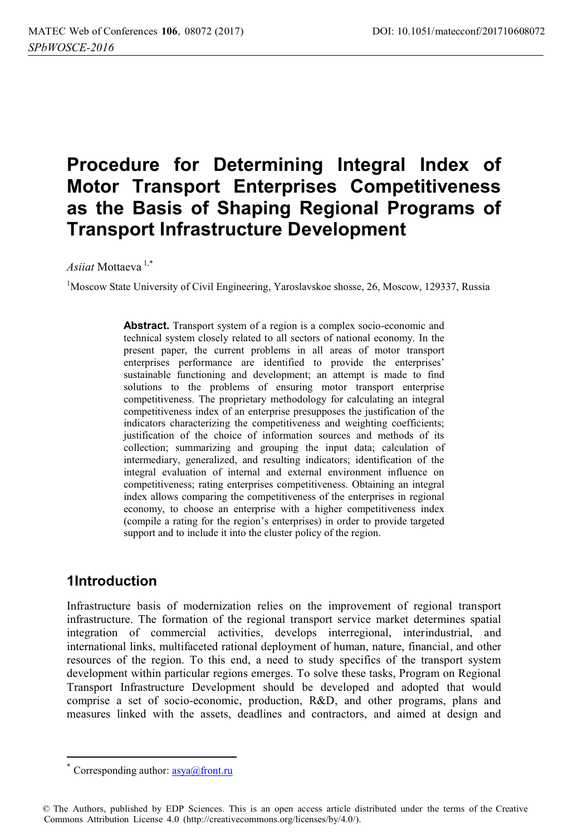# **Procedure for Determining Integral Index of Motor Transport Enterprises Competitiveness as the Basis of Shaping Regional Programs of Transport Infrastructure Development**

*Asiiat* Mottaeva 1,\*

<sup>1</sup>Moscow State University of Civil Engineering, Yaroslavskoe shosse, 26, Moscow, 129337, Russia

**Abstract.** Transport system of a region is a complex socio-economic and technical system closely related to all sectors of national economy. In the present paper, the current problems in all areas of motor transport enterprises performance are identified to provide the enterprises' sustainable functioning and development; an attempt is made to find solutions to the problems of ensuring motor transport enterprise competitiveness. The proprietary methodology for calculating an integral competitiveness index of an enterprise presupposes the justification of the indicators characterizing the competitiveness and weighting coefficients; justification of the choice of information sources and methods of its collection; summarizing and grouping the input data; calculation of intermediary, generalized, and resulting indicators; identification of the integral evaluation of internal and external environment influence on competitiveness; rating enterprises competitiveness. Obtaining an integral index allows comparing the competitiveness of the enterprises in regional economy, to choose an enterprise with a higher competitiveness index (compile a rating for the region's enterprises) in order to provide targeted support and to include it into the cluster policy of the region.

#### **1Introduction**

 $\overline{a}$ 

Infrastructure basis of modernization relies on the improvement of regional transport infrastructure. The formation of the regional transport service market determines spatial integration of commercial activities, develops interregional, interindustrial, and international links, multifaceted rational deployment of human, nature, financial, and other resources of the region. To this end, a need to study specifics of the transport system development within particular regions emerges. To solve these tasks, Program on Regional Transport Infrastructure Development should be developed and adopted that would comprise a set of socio-economic, production, R&D, and other programs, plans and measures linked with the assets, deadlines and contractors, and aimed at design and

Corresponding author:  $\frac{\text{asya}}{\text{arcsan}}$ .ru

<sup>©</sup> The Authors, published by EDP Sciences. This is an open access article distributed under the terms of the Creative Commons Attribution License 4.0 (http://creativecommons.org/licenses/by/4.0/).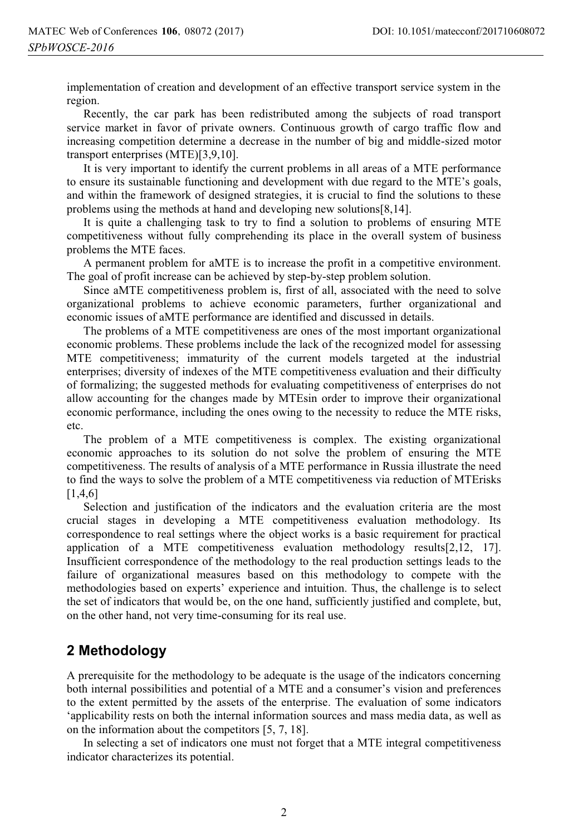implementation of creation and development of an effective transport service system in the region.

Recently, the car park has been redistributed among the subjects of road transport service market in favor of private owners. Continuous growth of cargo traffic flow and increasing competition determine a decrease in the number of big and middle-sized motor transport enterprises (MTE)[3,9,10].

It is very important to identify the current problems in all areas of a MTE performance to ensure its sustainable functioning and development with due regard to the MTE's goals, and within the framework of designed strategies, it is crucial to find the solutions to these problems using the methods at hand and developing new solutions[8,14].

It is quite a challenging task to try to find a solution to problems of ensuring MTE competitiveness without fully comprehending its place in the overall system of business problems the MTE faces.

A permanent problem for aMTE is to increase the profit in a competitive environment. The goal of profit increase can be achieved by step-by-step problem solution.

Since aMTE competitiveness problem is, first of all, associated with the need to solve organizational problems to achieve economic parameters, further organizational and economic issues of aMTE performance are identified and discussed in details.

The problems of a MTE competitiveness are ones of the most important organizational economic problems. These problems include the lack of the recognized model for assessing MTE competitiveness; immaturity of the current models targeted at the industrial enterprises; diversity of indexes of the MTE competitiveness evaluation and their difficulty of formalizing; the suggested methods for evaluating competitiveness of enterprises do not allow accounting for the changes made by MTEsin order to improve their organizational economic performance, including the ones owing to the necessity to reduce the MTE risks, etc.

The problem of a MTE competitiveness is complex. The existing organizational economic approaches to its solution do not solve the problem of ensuring the MTE competitiveness. The results of analysis of a MTE performance in Russia illustrate the need to find the ways to solve the problem of a MTE competitiveness via reduction of MTErisks [1,4,6]

Selection and justification of the indicators and the evaluation criteria are the most crucial stages in developing a MTE competitiveness evaluation methodology. Its correspondence to real settings where the object works is a basic requirement for practical application of a MTE competitiveness evaluation methodology results[2,12, 17]. Insufficient correspondence of the methodology to the real production settings leads to the failure of organizational measures based on this methodology to compete with the methodologies based on experts' experience and intuition. Thus, the challenge is to select the set of indicators that would be, on the one hand, sufficiently justified and complete, but, on the other hand, not very time-consuming for its real use.

### **2 Methodology**

A prerequisite for the methodology to be adequate is the usage of the indicators concerning both internal possibilities and potential of a MTE and a consumer's vision and preferences to the extent permitted by the assets of the enterprise. The evaluation of some indicators 'applicability rests on both the internal information sources and mass media data, as well as on the information about the competitors [5, 7, 18].

In selecting a set of indicators one must not forget that a MTE integral competitiveness indicator characterizes its potential.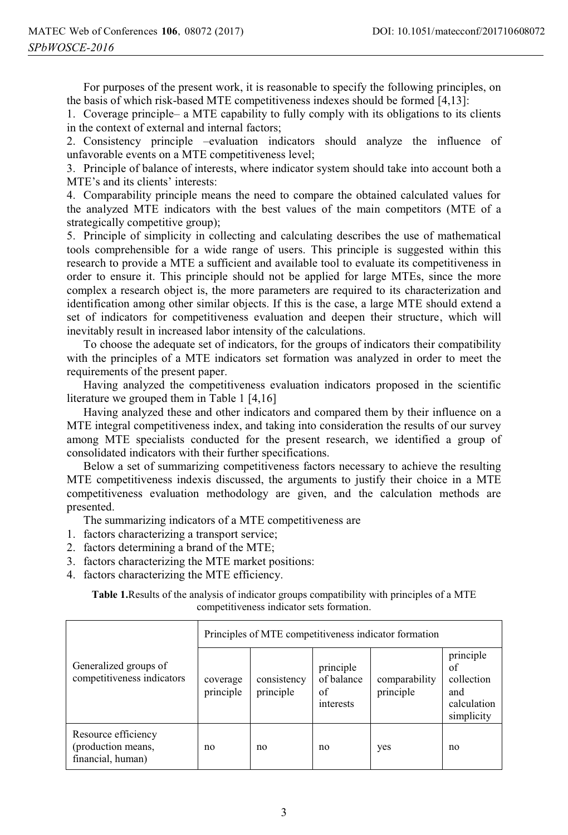For purposes of the present work, it is reasonable to specify the following principles, on the basis of which risk-based MTE competitiveness indexes should be formed [4,13]:

1. Coverage principle– a MTE capability to fully comply with its obligations to its clients in the context of external and internal factors;

2. Consistency principle –evaluation indicators should analyze the influence of unfavorable events on a MTE competitiveness level;

3. Principle of balance of interests, where indicator system should take into account both a MTE's and its clients' interests:

4. Comparability principle means the need to compare the obtained calculated values for the analyzed MTE indicators with the best values of the main competitors (MTE of a strategically competitive group);

5. Principle of simplicity in collecting and calculating describes the use of mathematical tools comprehensible for a wide range of users. This principle is suggested within this research to provide a MTE a sufficient and available tool to evaluate its competitiveness in order to ensure it. This principle should not be applied for large MTEs, since the more complex a research object is, the more parameters are required to its characterization and identification among other similar objects. If this is the case, a large MTE should extend a set of indicators for competitiveness evaluation and deepen their structure, which will inevitably result in increased labor intensity of the calculations.

To choose the adequate set of indicators, for the groups of indicators their compatibility with the principles of a MTE indicators set formation was analyzed in order to meet the requirements of the present paper.

Having analyzed the competitiveness evaluation indicators proposed in the scientific literature we grouped them in Table 1 [4,16]

Having analyzed these and other indicators and compared them by their influence on a MTE integral competitiveness index, and taking into consideration the results of our survey among MTE specialists conducted for the present research, we identified a group of consolidated indicators with their further specifications.

Below a set of summarizing competitiveness factors necessary to achieve the resulting MTE competitiveness indexis discussed, the arguments to justify their choice in a MTE competitiveness evaluation methodology are given, and the calculation methods are presented.

The summarizing indicators of a MTE competitiveness are

- 1. factors characterizing a transport service;
- 2. factors determining a brand of the MTE;
- 3. factors characterizing the MTE market positions:
- 4. factors characterizing the MTE efficiency.

**Table 1.**Results of the analysis of indicator groups compatibility with principles of a MTE competitiveness indicator sets formation.

| Generalized groups of<br>competitiveness indicators            | Principles of MTE competitiveness indicator formation |                          |                                            |                            |                                                                   |  |  |
|----------------------------------------------------------------|-------------------------------------------------------|--------------------------|--------------------------------------------|----------------------------|-------------------------------------------------------------------|--|--|
|                                                                | coverage<br>principle                                 | consistency<br>principle | principle<br>of balance<br>of<br>interests | comparability<br>principle | principle<br>of<br>collection<br>and<br>calculation<br>simplicity |  |  |
| Resource efficiency<br>(production means,<br>financial, human) | no                                                    | no                       | no                                         | yes                        | no                                                                |  |  |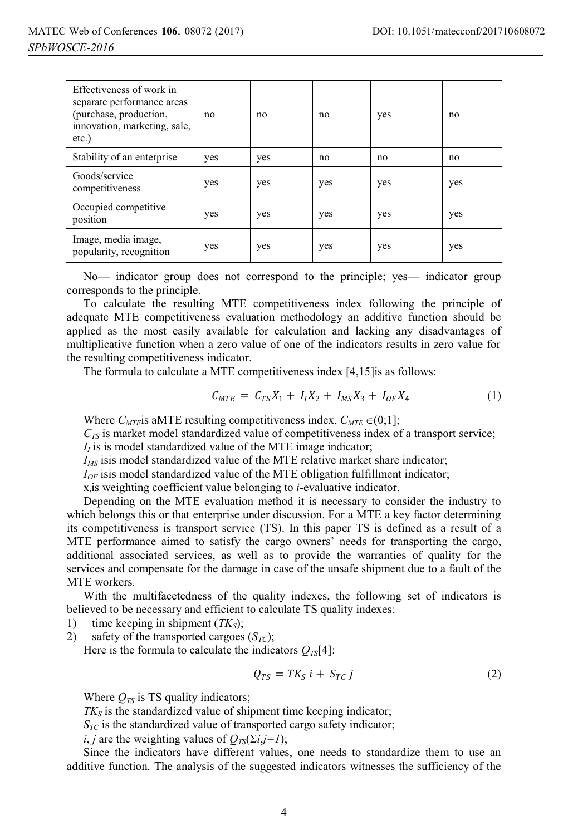| Effectiveness of work in<br>separate performance areas<br>(purchase, production,<br>innovation, marketing, sale,<br>$etc.$ ) | no  | no  | no  | yes | no  |
|------------------------------------------------------------------------------------------------------------------------------|-----|-----|-----|-----|-----|
| Stability of an enterprise                                                                                                   | yes | yes | no  | no  | no  |
| Goods/service<br>competitiveness                                                                                             | yes | yes | yes | yes | yes |
| Occupied competitive<br>position                                                                                             | yes | yes | yes | yes | yes |
| Image, media image,<br>popularity, recognition                                                                               | yes | yes | yes | yes | yes |

No— indicator group does not correspond to the principle; yes— indicator group corresponds to the principle.

To calculate the resulting MTE competitiveness index following the principle of adequate MTE competitiveness evaluation methodology an additive function should be applied as the most easily available for calculation and lacking any disadvantages of multiplicative function when a zero value of one of the indicators results in zero value for the resulting competitiveness indicator.

The formula to calculate a MTE competitiveness index [4,15]is as follows:

$$
C_{MTE} = C_{TS}X_1 + I_1X_2 + I_{MS}X_3 + I_{OF}X_4 \tag{1}
$$

Where  $C_{MTE}$  is aMTE resulting competitiveness index,  $C_{MTE} \in (0,1]$ ;

*CTS* is market model standardized value of competitiveness index of a transport service;

 $I<sub>I</sub>$  is is model standardized value of the MTE image indicator;

*I<sub>MS</sub>* isis model standardized value of the MTE relative market share indicator;

 $I_{OF}$  isis model standardized value of the MTE obligation fulfillment indicator;

x*i*is weighting coefficient value belonging to *i*-evaluative indicator.

Depending on the MTE evaluation method it is necessary to consider the industry to which belongs this or that enterprise under discussion. For a MTE a key factor determining its competitiveness is transport service (TS). In this paper TS is defined as a result of a MTE performance aimed to satisfy the cargo owners' needs for transporting the cargo, additional associated services, as well as to provide the warranties of quality for the services and compensate for the damage in case of the unsafe shipment due to a fault of the MTE workers.

With the multifacetedness of the quality indexes, the following set of indicators is believed to be necessary and efficient to calculate TS quality indexes:

1) time keeping in shipment (*TK<sub>S</sub>*);

2) safety of the transported cargoes  $(S_{TC})$ ;

Here is the formula to calculate the indicators  $Q_{TS}[4]$ :

$$
Q_{TS} = TK_S i + S_{TC} j \tag{2}
$$

Where  $Q_{TS}$  is TS quality indicators;

 $TK<sub>S</sub>$  is the standardized value of shipment time keeping indicator;

 $S_{TC}$  is the standardized value of transported cargo safety indicator;

*i*, *j* are the weighting values of  $Q_{TS}(\Sigma i, j=1)$ ;

Since the indicators have different values, one needs to standardize them to use an additive function. The analysis of the suggested indicators witnesses the sufficiency of the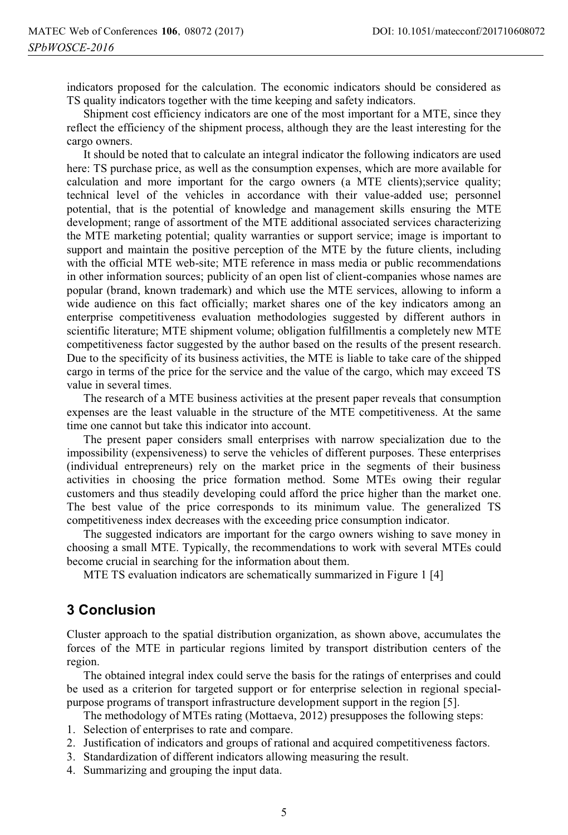indicators proposed for the calculation. The economic indicators should be considered as TS quality indicators together with the time keeping and safety indicators.

Shipment cost efficiency indicators are one of the most important for a MTE, since they reflect the efficiency of the shipment process, although they are the least interesting for the cargo owners.

It should be noted that to calculate an integral indicator the following indicators are used here: TS purchase price, as well as the consumption expenses, which are more available for calculation and more important for the cargo owners (a MTE clients);service quality; technical level of the vehicles in accordance with their value-added use; personnel potential, that is the potential of knowledge and management skills ensuring the MTE development; range of assortment of the MTE additional associated services characterizing the MTE marketing potential; quality warranties or support service; image is important to support and maintain the positive perception of the MTE by the future clients, including with the official MTE web-site; MTE reference in mass media or public recommendations in other information sources; publicity of an open list of client-companies whose names are popular (brand, known trademark) and which use the MTE services, allowing to inform a wide audience on this fact officially; market shares one of the key indicators among an enterprise competitiveness evaluation methodologies suggested by different authors in scientific literature; MTE shipment volume; obligation fulfillmentis a completely new MTE competitiveness factor suggested by the author based on the results of the present research. Due to the specificity of its business activities, the MTE is liable to take care of the shipped cargo in terms of the price for the service and the value of the cargo, which may exceed TS value in several times.

The research of a MTE business activities at the present paper reveals that consumption expenses are the least valuable in the structure of the MTE competitiveness. At the same time one cannot but take this indicator into account.

The present paper considers small enterprises with narrow specialization due to the impossibility (expensiveness) to serve the vehicles of different purposes. These enterprises (individual entrepreneurs) rely on the market price in the segments of their business activities in choosing the price formation method. Some MTEs owing their regular customers and thus steadily developing could afford the price higher than the market one. The best value of the price corresponds to its minimum value. The generalized TS competitiveness index decreases with the exceeding price consumption indicator.

The suggested indicators are important for the cargo owners wishing to save money in choosing a small MTE. Typically, the recommendations to work with several MTEs could become crucial in searching for the information about them.

MTE TS evaluation indicators are schematically summarized in Figure 1 [4]

#### **3 Conclusion**

Cluster approach to the spatial distribution organization, as shown above, accumulates the forces of the MTE in particular regions limited by transport distribution centers of the region.

The obtained integral index could serve the basis for the ratings of enterprises and could be used as a criterion for targeted support or for enterprise selection in regional specialpurpose programs of transport infrastructure development support in the region [5].

The methodology of MTEs rating (Mottaeva, 2012) presupposes the following steps:

- 1. Selection of enterprises to rate and compare.
- 2. Justification of indicators and groups of rational and acquired competitiveness factors.
- 3. Standardization of different indicators allowing measuring the result.
- 4. Summarizing and grouping the input data.